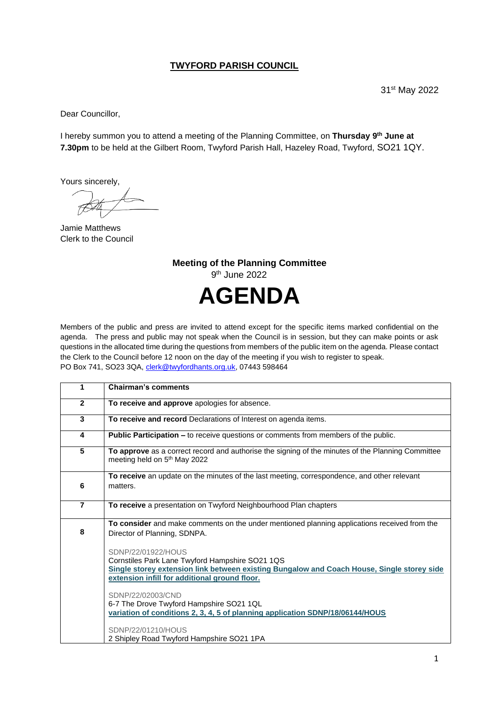## **TWYFORD PARISH COUNCIL**

31st May 2022

Dear Councillor,

I hereby summon you to attend a meeting of the Planning Committee, on **Thursday 9 th June at 7.30pm** to be held at the Gilbert Room, Twyford Parish Hall, Hazeley Road, Twyford, SO21 1QY.

Yours sincerely,

Jamie Matthews Clerk to the Council

**Meeting of the Planning Committee** 9 th June 2022 **AGENDA**

Members of the public and press are invited to attend except for the specific items marked confidential on the agenda. The press and public may not speak when the Council is in session, but they can make points or ask questions in the allocated time during the questions from members of the public item on the agenda. Please contact the Clerk to the Council before 12 noon on the day of the meeting if you wish to register to speak. PO Box 741, SO23 3QA, [clerk@twyfordhants.org.uk,](mailto:clerk@twyfordhants.org.uk) 07443 598464

| 1              | <b>Chairman's comments</b>                                                                                                                                                                                           |
|----------------|----------------------------------------------------------------------------------------------------------------------------------------------------------------------------------------------------------------------|
| $\overline{2}$ | To receive and approve apologies for absence.                                                                                                                                                                        |
| 3              | To receive and record Declarations of Interest on agenda items.                                                                                                                                                      |
| 4              | <b>Public Participation – to receive questions or comments from members of the public.</b>                                                                                                                           |
| 5              | To approve as a correct record and authorise the signing of the minutes of the Planning Committee<br>meeting held on 5 <sup>th</sup> May 2022                                                                        |
| 6              | To receive an update on the minutes of the last meeting, correspondence, and other relevant<br>matters.                                                                                                              |
| $\overline{7}$ | To receive a presentation on Twyford Neighbourhood Plan chapters                                                                                                                                                     |
| 8              | To consider and make comments on the under mentioned planning applications received from the<br>Director of Planning, SDNPA.                                                                                         |
|                | SDNP/22/01922/HOUS<br>Cornstiles Park Lane Twyford Hampshire SO21 1QS<br>Single storey extension link between existing Bungalow and Coach House, Single storey side<br>extension infill for additional ground floor. |
|                | SDNP/22/02003/CND<br>6-7 The Drove Twyford Hampshire SO21 1QL<br>variation of conditions 2, 3, 4, 5 of planning application SDNP/18/06144/HOUS                                                                       |
|                | SDNP/22/01210/HOUS<br>2 Shipley Road Twyford Hampshire SO21 1PA                                                                                                                                                      |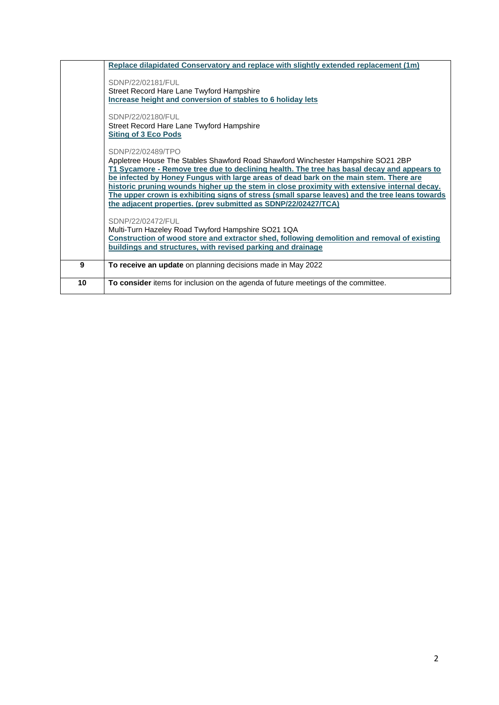|    | Replace dilapidated Conservatory and replace with slightly extended replacement (1m)           |
|----|------------------------------------------------------------------------------------------------|
|    |                                                                                                |
|    | SDNP/22/02181/FUL                                                                              |
|    | Street Record Hare Lane Twyford Hampshire                                                      |
|    | Increase height and conversion of stables to 6 holiday lets                                    |
|    | SDNP/22/02180/FUL                                                                              |
|    | Street Record Hare Lane Twyford Hampshire                                                      |
|    | <b>Siting of 3 Eco Pods</b>                                                                    |
|    |                                                                                                |
|    | SDNP/22/02489/TPO                                                                              |
|    | Appletree House The Stables Shawford Road Shawford Winchester Hampshire SO21 2BP               |
|    | T1 Sycamore - Remove tree due to declining health. The tree has basal decay and appears to     |
|    | be infected by Honey Fungus with large areas of dead bark on the main stem. There are          |
|    | historic pruning wounds higher up the stem in close proximity with extensive internal decay.   |
|    | The upper crown is exhibiting signs of stress (small sparse leaves) and the tree leans towards |
|    | the adjacent properties. (prev submitted as SDNP/22/02427/TCA)                                 |
|    | SDNP/22/02472/FUL                                                                              |
|    | Multi-Turn Hazeley Road Twyford Hampshire SO21 1QA                                             |
|    | Construction of wood store and extractor shed, following demolition and removal of existing    |
|    | buildings and structures, with revised parking and drainage                                    |
|    |                                                                                                |
| 9  | To receive an update on planning decisions made in May 2022                                    |
| 10 | To consider items for inclusion on the agenda of future meetings of the committee.             |
|    |                                                                                                |